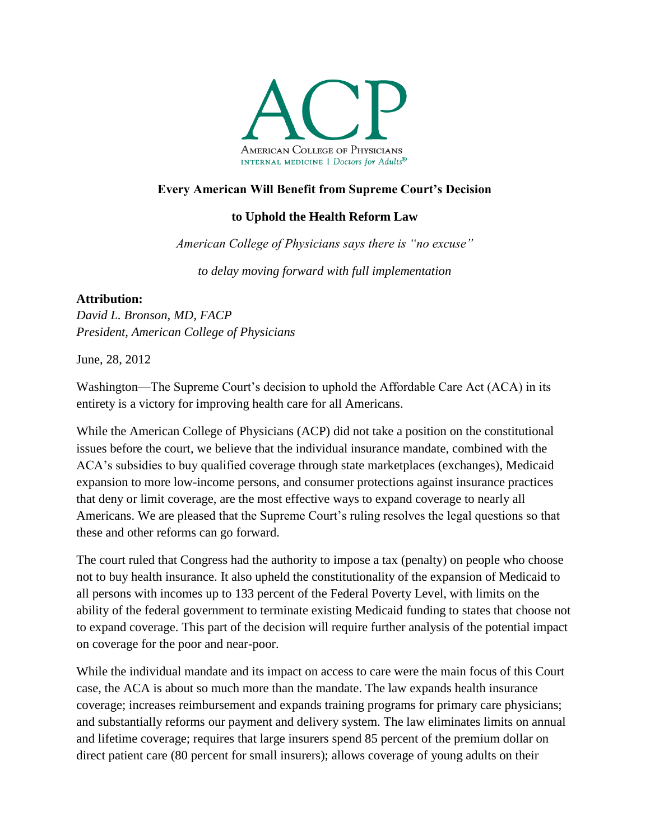

## **Every American Will Benefit from Supreme Court's Decision**

## **to Uphold the Health Reform Law**

*American College of Physicians says there is "no excuse"* 

*to delay moving forward with full implementation*

## **Attribution:**

*David L. Bronson, MD, FACP President, American College of Physicians*

June, 28, 2012

Washington—The Supreme Court's decision to uphold the Affordable Care Act (ACA) in its entirety is a victory for improving health care for all Americans.

While the American College of Physicians (ACP) did not take a position on the constitutional issues before the court, we believe that the individual insurance mandate, combined with the ACA's subsidies to buy qualified coverage through state marketplaces (exchanges), Medicaid expansion to more low-income persons, and consumer protections against insurance practices that deny or limit coverage, are the most effective ways to expand coverage to nearly all Americans. We are pleased that the Supreme Court's ruling resolves the legal questions so that these and other reforms can go forward.

The court ruled that Congress had the authority to impose a tax (penalty) on people who choose not to buy health insurance. It also upheld the constitutionality of the expansion of Medicaid to all persons with incomes up to 133 percent of the Federal Poverty Level, with limits on the ability of the federal government to terminate existing Medicaid funding to states that choose not to expand coverage. This part of the decision will require further analysis of the potential impact on coverage for the poor and near-poor.

While the individual mandate and its impact on access to care were the main focus of this Court case, the ACA is about so much more than the mandate. The law expands health insurance coverage; increases reimbursement and expands training programs for primary care physicians; and substantially reforms our payment and delivery system. The law eliminates limits on annual and lifetime coverage; requires that large insurers spend 85 percent of the premium dollar on direct patient care (80 percent for small insurers); allows coverage of young adults on their